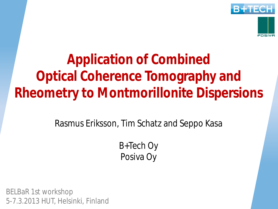

**Application of Combined Optical Coherence Tomography and Rheometry to Montmorillonite Dispersions**

Rasmus Eriksson, Tim Schatz and Seppo Kasa

B+Tech Oy Posiva Oy

BELBaR 1st workshop 5-7.3.2013 HUT, Helsinki, Finland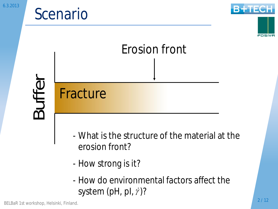#### Scenario

Fracture



POSIVA

## Erosion front

Buffer

- What is the structure of the material at the erosion front?
- How strong is it?
- How do environmental factors affect the system (pH, pl,  $\dot{y}$ )?

BELBaR 1st workshop, Helsinki, Finland.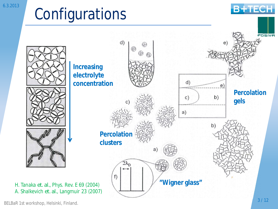#### Configurations



**B+TECH**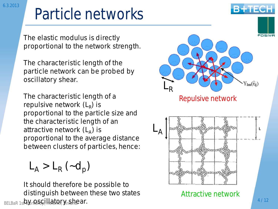#### Particle networks

The elastic modulus is directly proportional to the network strength.

The characteristic length of the particle network can be probed by oscillatory shear.

The characteristic length of a repulsive network (L<sub>R</sub>) is proportional to the particle size and the characteristic length of an attractive network (L<sub>A</sub>) is proportional to the average distance between clusters of particles, hence:

 $L_A > L_R (-d_p)$ 

BELBaR 1stQYr@§Gillator, Yn§hear. It should therefore be possible to distinguish between these two states



Attractive network

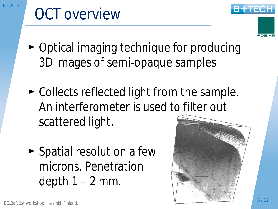### OCT overview



- $\triangleright$  Optical imaging technique for producing 3D images of semi-opaque samples
- $\triangleright$  Collects reflected light from the sample. An interferometer is used to filter out scattered light.
- $\blacktriangleright$  Spatial resolution a few microns. Penetration depth  $1 - 2$  mm.

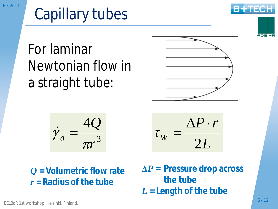### Capillary tubes

For laminar Newtonian flow in a straight tube:

$$
\dot{\gamma}_a = \frac{4Q}{\pi r^3}
$$

*Q* **= Volumetric flow rate** *r* **= Radius of the tube**

$$
f_{\rm{max}}
$$

POSIVA

*L* 2  $\Delta P \cdot r$  $\tau_{_W} =$ 

**ǻ***P* **= Pressure drop across the tube** *L* **= Length of the tube**

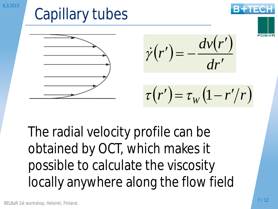

The radial velocity profile can be obtained by OCT, which makes it possible to calculate the viscosity locally anywhere along the flow field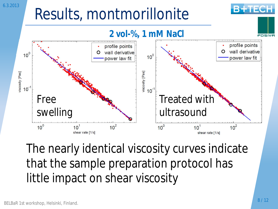#### 6.3.2013

#### Results, montmorillonite



The nearly identical viscosity curves indicate that the sample preparation protocol has little impact on shear viscosity

**B+TECH**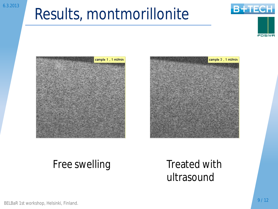#### Results, montmorillonite









#### Free swelling Treated with

### ultrasound

BELBaR 1st workshop, Helsinki, Finland.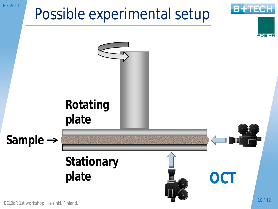